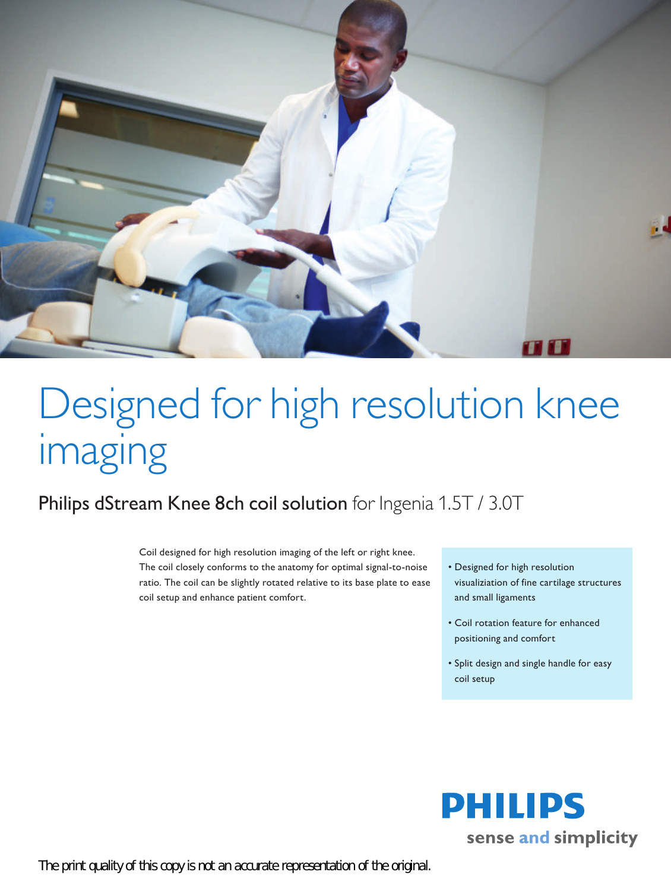

## Designed for high resolution knee imaging

## Philips dStream Knee 8ch coil solution for Ingenia 1.5T / 3.0T

Coil designed for high resolution imaging of the left or right knee. The coil closely conforms to the anatomy for optimal signal-to-noise ratio. The coil can be slightly rotated relative to its base plate to ease coil setup and enhance patient comfort.

- • Designed for high resolution visualiziation of fine cartilage structures and small ligaments
- • Coil rotation feature for enhanced positioning and comfort
- • Split design and single handle for easy coil setup